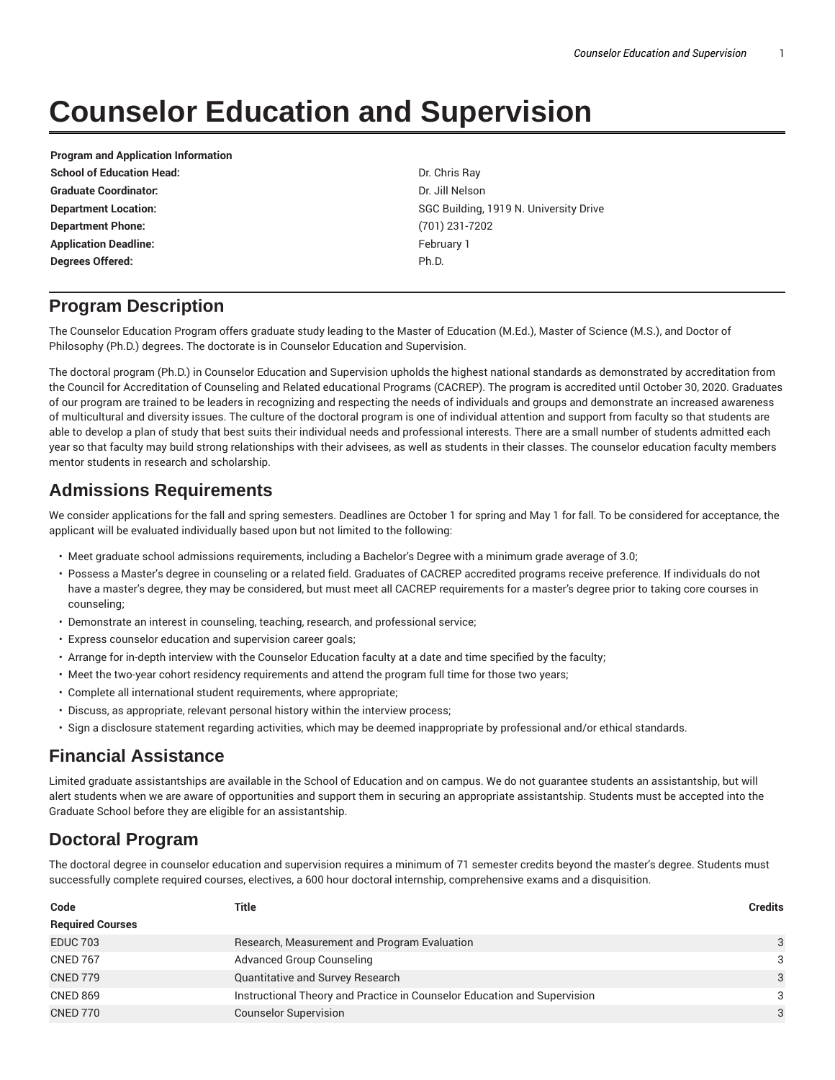# **Counselor Education and Supervision**

**Program and Application Information School of Education Head:** Dr. Chris Ray **Graduate Coordinator:** Dr. Jill Nelson **Department Phone:** (701) 231-7202 **Application Deadline:** The Contract of the Contract of Tebruary 1 and Tebruary 1 **Degrees Offered:** Ph.D.

**Department Location:** SGC Building, 1919 N. University Drive

## **Program Description**

The Counselor Education Program offers graduate study leading to the Master of Education (M.Ed.), Master of Science (M.S.), and Doctor of Philosophy (Ph.D.) degrees. The doctorate is in Counselor Education and Supervision.

The doctoral program (Ph.D.) in Counselor Education and Supervision upholds the highest national standards as demonstrated by accreditation from the Council for Accreditation of Counseling and Related educational Programs (CACREP). The program is accredited until October 30, 2020. Graduates of our program are trained to be leaders in recognizing and respecting the needs of individuals and groups and demonstrate an increased awareness of multicultural and diversity issues. The culture of the doctoral program is one of individual attention and support from faculty so that students are able to develop a plan of study that best suits their individual needs and professional interests. There are a small number of students admitted each year so that faculty may build strong relationships with their advisees, as well as students in their classes. The counselor education faculty members mentor students in research and scholarship.

### **Admissions Requirements**

We consider applications for the fall and spring semesters. Deadlines are October 1 for spring and May 1 for fall. To be considered for acceptance, the applicant will be evaluated individually based upon but not limited to the following:

- Meet graduate school admissions requirements, including a Bachelor's Degree with a minimum grade average of 3.0;
- Possess a Master's degree in counseling or a related field. Graduates of CACREP accredited programs receive preference. If individuals do not have a master's degree, they may be considered, but must meet all CACREP requirements for a master's degree prior to taking core courses in counseling;
- Demonstrate an interest in counseling, teaching, research, and professional service;
- Express counselor education and supervision career goals;
- Arrange for in-depth interview with the Counselor Education faculty at a date and time specified by the faculty;
- Meet the two-year cohort residency requirements and attend the program full time for those two years;
- Complete all international student requirements, where appropriate;
- Discuss, as appropriate, relevant personal history within the interview process;
- Sign a disclosure statement regarding activities, which may be deemed inappropriate by professional and/or ethical standards.

## **Financial Assistance**

Limited graduate assistantships are available in the School of Education and on campus. We do not guarantee students an assistantship, but will alert students when we are aware of opportunities and support them in securing an appropriate assistantship. Students must be accepted into the Graduate School before they are eligible for an assistantship.

# **Doctoral Program**

The doctoral degree in counselor education and supervision requires a minimum of 71 semester credits beyond the master's degree. Students must successfully complete required courses, electives, a 600 hour doctoral internship, comprehensive exams and a disquisition.

| Code                    | Title                                                                    | <b>Credits</b> |
|-------------------------|--------------------------------------------------------------------------|----------------|
| <b>Required Courses</b> |                                                                          |                |
| <b>EDUC 703</b>         | Research, Measurement and Program Evaluation                             | 3              |
| <b>CNED 767</b>         | <b>Advanced Group Counseling</b>                                         | 3              |
| <b>CNED 779</b>         | <b>Quantitative and Survey Research</b>                                  | 3              |
| <b>CNED 869</b>         | Instructional Theory and Practice in Counselor Education and Supervision | 3              |
| <b>CNED 770</b>         | <b>Counselor Supervision</b>                                             | 3              |